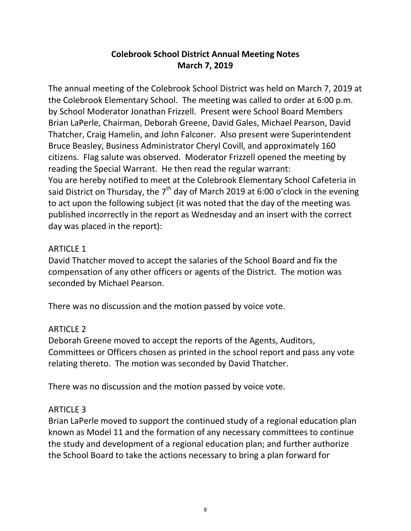## **Colebrook School District Annual Meeting Notes March 7, 2019**

The annual meeting of the Colebrook School District was held on March 7, 2019 at the Colebrook Elementary School. The meeting was called to order at 6:00 p.m. by School Moderator Jonathan Frizzell. Present were School Board Members Brian LaPerle, Chairman, Deborah Greene, David Gales, Michael Pearson, David Thatcher, Craig Hamelin, and John Falconer. Also present were Superintendent Bruce Beasley, Business Administrator Cheryl Covill, and approximately 160 citizens. Flag salute was observed. Moderator Frizzell opened the meeting by reading the Special Warrant. He then read the regular warrant: You are hereby notified to meet at the Colebrook Elementary School Cafeteria in said District on Thursday, the  $7<sup>th</sup>$  day of March 2019 at 6:00 o'clock in the evening to act upon the following subject (it was noted that the day of the meeting was published incorrectly in the report as Wednesday and an insert with the correct day was placed in the report):

#### ARTICLE 1

David Thatcher moved to accept the salaries of the School Board and fix the compensation of any other officers or agents of the District. The motion was seconded by Michael Pearson.

There was no discussion and the motion passed by voice vote.

## ARTICLE 2

Deborah Greene moved to accept the reports of the Agents, Auditors, Committees or Officers chosen as printed in the school report and pass any vote relating thereto. The motion was seconded by David Thatcher.

There was no discussion and the motion passed by voice vote.

#### ARTICLE 3

Brian LaPerle moved to support the continued study of a regional education plan known as Model 11 and the formation of any necessary committees to continue the study and development of a regional education plan; and further authorize the School Board to take the actions necessary to bring a plan forward for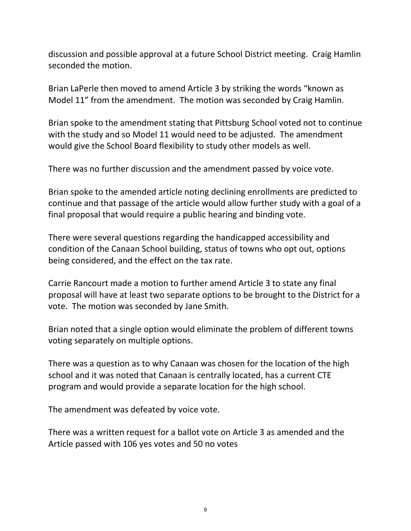discussion and possible approval at a future School District meeting. Craig Hamlin seconded the motion.

Brian LaPerle then moved to amend Article 3 by striking the words "known as Model 11" from the amendment. The motion was seconded by Craig Hamlin.

Brian spoke to the amendment stating that Pittsburg School voted not to continue with the study and so Model 11 would need to be adjusted. The amendment would give the School Board flexibility to study other models as well.

There was no further discussion and the amendment passed by voice vote.

Brian spoke to the amended article noting declining enrollments are predicted to continue and that passage of the article would allow further study with a goal of a final proposal that would require a public hearing and binding vote.

There were several questions regarding the handicapped accessibility and condition of the Canaan School building, status of towns who opt out, options being considered, and the effect on the tax rate.

Carrie Rancourt made a motion to further amend Article 3 to state any final proposal will have at least two separate options to be brought to the District for a vote. The motion was seconded by Jane Smith.

Brian noted that a single option would eliminate the problem of different towns voting separately on multiple options.

There was a question as to why Canaan was chosen for the location of the high school and it was noted that Canaan is centrally located, has a current CTE program and would provide a separate location for the high school.

The amendment was defeated by voice vote.

There was a written request for a ballot vote on Article 3 as amended and the Article passed with 106 yes votes and 50 no votes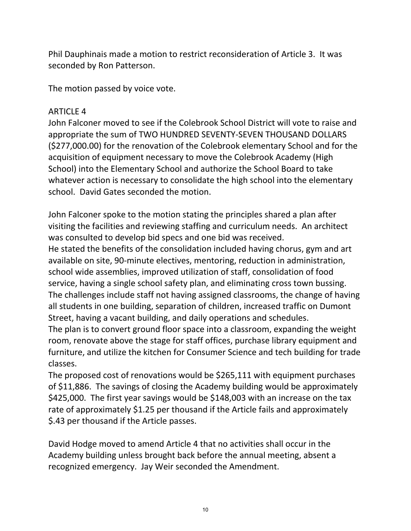Phil Dauphinais made a motion to restrict reconsideration of Article 3. It was seconded by Ron Patterson.

The motion passed by voice vote.

# ARTICLE 4

John Falconer moved to see if the Colebrook School District will vote to raise and appropriate the sum of TWO HUNDRED SEVENTY-SEVEN THOUSAND DOLLARS (\$277,000.00) for the renovation of the Colebrook elementary School and for the acquisition of equipment necessary to move the Colebrook Academy (High School) into the Elementary School and authorize the School Board to take whatever action is necessary to consolidate the high school into the elementary school. David Gates seconded the motion.

John Falconer spoke to the motion stating the principles shared a plan after visiting the facilities and reviewing staffing and curriculum needs. An architect was consulted to develop bid specs and one bid was received.

He stated the benefits of the consolidation included having chorus, gym and art available on site, 90-minute electives, mentoring, reduction in administration, school wide assemblies, improved utilization of staff, consolidation of food service, having a single school safety plan, and eliminating cross town bussing. The challenges include staff not having assigned classrooms, the change of having all students in one building, separation of children, increased traffic on Dumont Street, having a vacant building, and daily operations and schedules.

The plan is to convert ground floor space into a classroom, expanding the weight room, renovate above the stage for staff offices, purchase library equipment and furniture, and utilize the kitchen for Consumer Science and tech building for trade classes.

The proposed cost of renovations would be \$265,111 with equipment purchases of \$11,886. The savings of closing the Academy building would be approximately \$425,000. The first year savings would be \$148,003 with an increase on the tax rate of approximately \$1.25 per thousand if the Article fails and approximately \$.43 per thousand if the Article passes.

David Hodge moved to amend Article 4 that no activities shall occur in the Academy building unless brought back before the annual meeting, absent a recognized emergency. Jay Weir seconded the Amendment.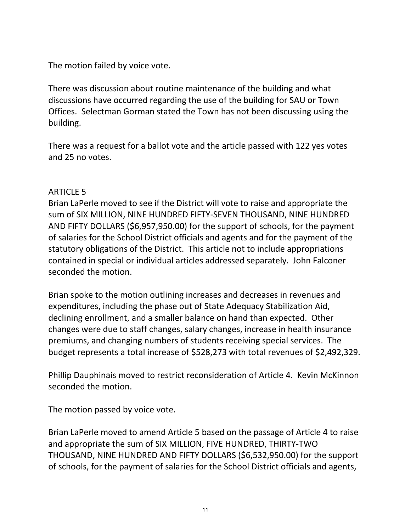The motion failed by voice vote.

There was discussion about routine maintenance of the building and what discussions have occurred regarding the use of the building for SAU or Town Offices. Selectman Gorman stated the Town has not been discussing using the building.

There was a request for a ballot vote and the article passed with 122 yes votes and 25 no votes.

### ARTICLE 5

Brian LaPerle moved to see if the District will vote to raise and appropriate the sum of SIX MILLION, NINE HUNDRED FIFTY-SEVEN THOUSAND, NINE HUNDRED AND FIFTY DOLLARS (\$6,957,950.00) for the support of schools, for the payment of salaries for the School District officials and agents and for the payment of the statutory obligations of the District. This article not to include appropriations contained in special or individual articles addressed separately. John Falconer seconded the motion.

Brian spoke to the motion outlining increases and decreases in revenues and expenditures, including the phase out of State Adequacy Stabilization Aid, declining enrollment, and a smaller balance on hand than expected. Other changes were due to staff changes, salary changes, increase in health insurance premiums, and changing numbers of students receiving special services. The budget represents a total increase of \$528,273 with total revenues of \$2,492,329.

Phillip Dauphinais moved to restrict reconsideration of Article 4. Kevin McKinnon seconded the motion.

The motion passed by voice vote.

Brian LaPerle moved to amend Article 5 based on the passage of Article 4 to raise and appropriate the sum of SIX MILLION, FIVE HUNDRED, THIRTY-TWO THOUSAND, NINE HUNDRED AND FIFTY DOLLARS (\$6,532,950.00) for the support of schools, for the payment of salaries for the School District officials and agents,